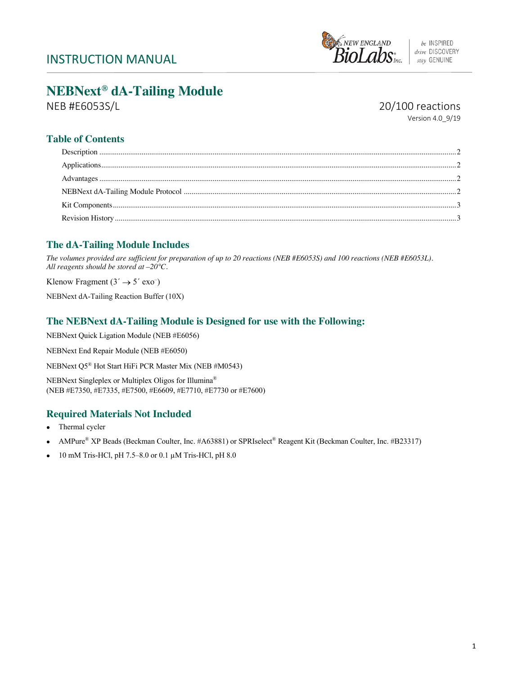

# **NEBNext® dA-Tailing Module**

NEB #E6053S/L 20/100 reactions

Version 4.0\_9/19

# **Table of Contents**

# **The dA-Tailing Module Includes**

*The volumes provided are sufficient for preparation of up to 20 reactions (NEB #E6053S) and 100 reactions (NEB #E6053L). All reagents should be stored at –20°C.* 

Klenow Fragment  $(3' \rightarrow 5' \text{ exo}^{-})$ 

NEBNext dA-Tailing Reaction Buffer (10X)

## **The NEBNext dA-Tailing Module is Designed for use with the Following:**

NEBNext Quick Ligation Module (NEB #E6056)

NEBNext End Repair Module (NEB #E6050)

NEBNext Q5® Hot Start HiFi PCR Master Mix (NEB #M0543)

NEBNext Singleplex or Multiplex Oligos for Illumina® (NEB #E7350, #E7335, #E7500, #E6609, #E7710, #E7730 or #E7600)

# **Required Materials Not Included**

- Thermal cycler
- AMPure® XP Beads (Beckman Coulter, Inc. #A63881) or SPRIselect® Reagent Kit (Beckman Coulter, Inc. #B23317)
- 10 mM Tris-HCl, pH 7.5–8.0 or 0.1  $\mu$ M Tris-HCl, pH 8.0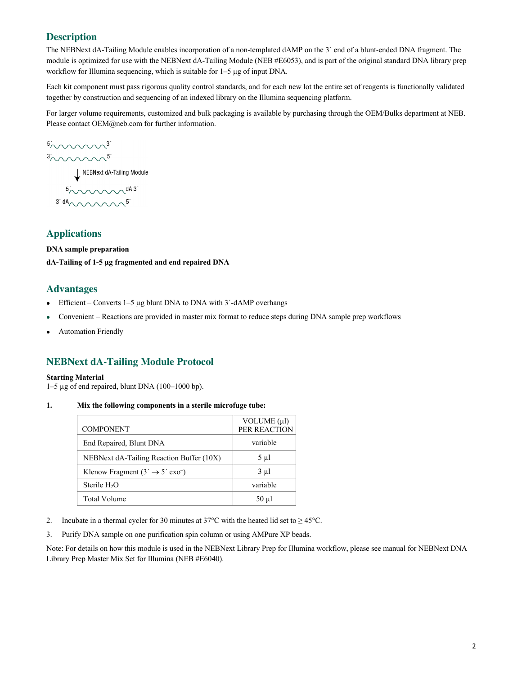## **Description**

The NEBNext dA-Tailing Module enables incorporation of a non-templated dAMP on the 3´ end of a blunt-ended DNA fragment. The module is optimized for use with the NEBNext dA-Tailing Module (NEB #E6053), and is part of the original standard DNA library prep workflow for Illumina sequencing, which is suitable for 1–5 µg of input DNA.

Each kit component must pass rigorous quality control standards, and for each new lot the entire set of reagents is functionally validated together by construction and sequencing of an indexed library on the Illumina sequencing platform.

For larger volume requirements, customized and bulk packaging is available by purchasing through the OEM/Bulks department at NEB. Please contact OEM@neb.com for further information.

 $50000003$ 

NEBNext dA-Tailing Module

 $3' dA_{\wedge\wedge\wedge\wedge\wedge\wedge\wedge\wedge}5'$ 

### **Applications**

**DNA sample preparation dA-Tailing of 1-5 µg fragmented and end repaired DNA**

#### **Advantages**

- Efficient Converts  $1-5 \mu g$  blunt DNA to DNA with  $3'$ -dAMP overhangs
- Convenient Reactions are provided in master mix format to reduce steps during DNA sample prep workflows
- Automation Friendly

### **NEBNext dA-Tailing Module Protocol**

#### **Starting Material**

1–5 µg of end repaired, blunt DNA (100–1000 bp).

#### **1. Mix the following components in a sterile microfuge tube:**

| <b>COMPONENT</b>                                      | VOLUME $(\mu\text{l})$<br>PER REACTION |
|-------------------------------------------------------|----------------------------------------|
| End Repaired, Blunt DNA                               | variable                               |
| NEBNext dA-Tailing Reaction Buffer (10X)              | 5 µl                                   |
| Klenow Fragment $(3' \rightarrow 5' \text{ exo}^{-})$ | 3 µl                                   |
| Sterile $H_2O$                                        | variable                               |
| Total Volume                                          | $50 \mu l$                             |

- 2. Incubate in a thermal cycler for 30 minutes at 37°C with the heated lid set to  $\geq$  45°C.
- 3. Purify DNA sample on one purification spin column or using AMPure XP beads.

Note: For details on how this module is used in the NEBNext Library Prep for Illumina workflow, please see manual for NEBNext DNA Library Prep Master Mix Set for Illumina (NEB #E6040).